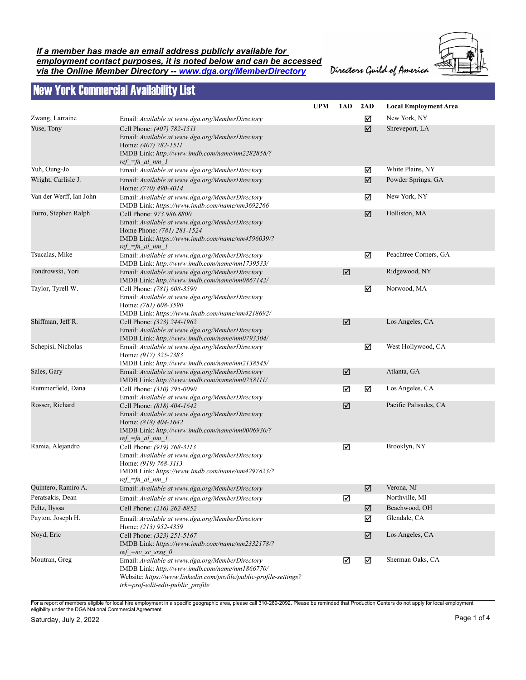## *If a member has made an email address publicly available for employment contact purposes, it is noted below and can be accessed via the Online Member Directory -- www.dga.org/MemberDirectory*



Directors Guild of America

## New York Commercial Availability List

|                         |                                                                                                                                                                                                              | <b>UPM</b> | 1AD | 2AD | <b>Local Employment Area</b> |
|-------------------------|--------------------------------------------------------------------------------------------------------------------------------------------------------------------------------------------------------------|------------|-----|-----|------------------------------|
| Zwang, Larraine         | Email: Available at www.dga.org/MemberDirectory                                                                                                                                                              |            |     | ☑   | New York, NY                 |
| Yuse, Tony              | Cell Phone: (407) 782-1511<br>Email: Available at www.dga.org/MemberDirectory<br>Home: (407) 782-1511<br>IMDB Link: http://www.imdb.com/name/nm2282858/?<br>$ref =fn$ al nm 1                                |            |     | ☑   | Shreveport, LA               |
| Yuh, Oung-Jo            | Email: Available at www.dga.org/MemberDirectory                                                                                                                                                              |            |     | ☑   | White Plains, NY             |
| Wright, Carlisle J.     | Email: Available at www.dga.org/MemberDirectory<br>Home: (770) 490-4014                                                                                                                                      |            |     | ☑   | Powder Springs, GA           |
| Van der Werff, Ian John | Email: Available at www.dga.org/MemberDirectory<br>IMDB Link: https://www.imdb.com/name/nm3692266                                                                                                            |            |     | ☑   | New York, NY                 |
| Turro, Stephen Ralph    | Cell Phone: 973.986.8800<br>Email: Available at www.dga.org/MemberDirectory<br>Home Phone: (781) 281-1524<br>IMDB Link: https://www.imdb.com/name/nm4596039/?<br>$ref_{fn\_al\_nm\_l}$                       |            |     | ☑   | Holliston, MA                |
| Tsucalas, Mike          | Email: Available at www.dga.org/MemberDirectory<br>IMDB Link: http://www.imdb.com/name/nm1739533/                                                                                                            |            |     | ☑   | Peachtree Corners, GA        |
| Tondrowski, Yori        | Email: Available at www.dga.org/MemberDirectory<br>IMDB Link: http://www.imdb.com/name/nm0867142/                                                                                                            |            | ☑   |     | Ridgewood, NY                |
| Taylor, Tyrell W.       | Cell Phone: (781) 608-3590<br>Email: Available at www.dga.org/MemberDirectory<br>Home: (781) 608-3590<br>IMDB Link: https://www.imdb.com/name/nm4218692/                                                     |            |     | ☑   | Norwood, MA                  |
| Shiffman, Jeff R.       | Cell Phone: (323) 244-1962<br>Email: Available at www.dga.org/MemberDirectory<br>IMDB Link: http://www.imdb.com/name/nm0793304/                                                                              |            | ☑   |     | Los Angeles, CA              |
| Schepisi, Nicholas      | Email: Available at www.dga.org/MemberDirectory<br>Home: (917) 325-2383<br>IMDB Link: http://www.imdb.com/name/nm2138545/                                                                                    |            |     | ☑   | West Hollywood, CA           |
| Sales, Gary             | Email: Available at www.dga.org/MemberDirectory<br>IMDB Link: http://www.imdb.com/name/nm0758111/                                                                                                            |            | ☑   |     | Atlanta, GA                  |
| Rummerfield, Dana       | Cell Phone: (310) 795-0090<br>Email: Available at www.dga.org/MemberDirectory                                                                                                                                |            | ☑   | ☑   | Los Angeles, CA              |
| Rosser, Richard         | Cell Phone: (818) 404-1642<br>Email: Available at www.dga.org/MemberDirectory<br>Home: (818) 404-1642<br>IMDB Link: http://www.imdb.com/name/nm0006930/?<br>$ref =fn$ al nm 1                                |            | ☑   |     | Pacific Palisades, CA        |
| Ramia, Alejandro        | Cell Phone: (919) 768-3113<br>Email: Available at www.dga.org/MemberDirectory<br>Home: (919) 768-3113<br>IMDB Link: https://www.imdb.com/name/nm4297823/?<br>$ref =fn$ al nm 1                               |            | ☑   |     | Brooklyn, NY                 |
| Quintero, Ramiro A.     | Email: Available at www.dga.org/MemberDirectory                                                                                                                                                              |            |     | ☑   | Verona, NJ                   |
| Peratsakis, Dean        | Email: Available at www.dga.org/MemberDirectory                                                                                                                                                              |            | ☑   |     | Northville, MI               |
| Peltz, Ilyssa           | Cell Phone: (216) 262-8852                                                                                                                                                                                   |            |     | ☑   | Beachwood, OH                |
| Payton, Joseph H.       | Email: Available at www.dga.org/MemberDirectory<br>Home: (213) 952-4359                                                                                                                                      |            |     | ☑   | Glendale, CA                 |
| Noyd, Eric              | Cell Phone: (323) 251-5167<br>IMDB Link: https://www.imdb.com/name/nm2332178/?<br>$ref\_=nv\_sr\_srsg_0$                                                                                                     |            |     | ☑   | Los Angeles, CA              |
| Moutran, Greg           | Email: Available at www.dga.org/MemberDirectory<br>IMDB Link: http://www.imdb.com/name/nm1866770/<br>Website: https://www.linkedin.com/profile/public-profile-settings?<br>trk=prof-edit-edit-public profile |            | ☑   | ☑   | Sherman Oaks, CA             |

For a report of members eligible for local hire employment in a specific geographic area, please call 310-289-2092. Please be reminded that Production Centers do not apply for local employment<br>eligibility under the DGA Nat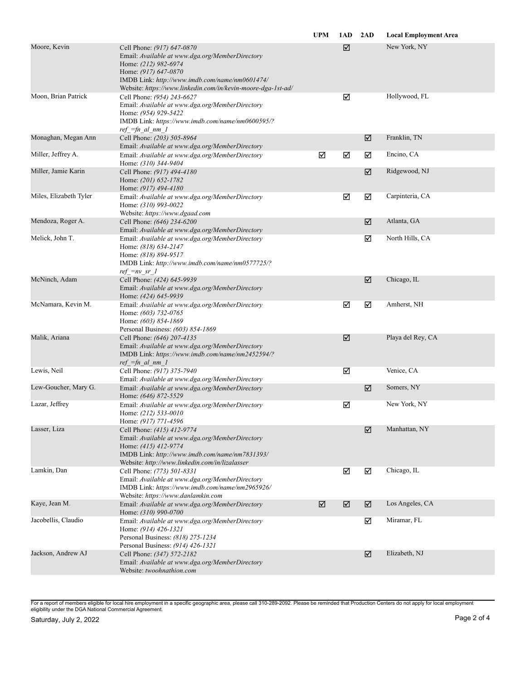|                        |                                                                                                                                                                                                                                                 | <b>UPM</b> | 1AD | 2AD | <b>Local Employment Area</b> |
|------------------------|-------------------------------------------------------------------------------------------------------------------------------------------------------------------------------------------------------------------------------------------------|------------|-----|-----|------------------------------|
| Moore, Kevin           | Cell Phone: (917) 647-0870<br>Email: Available at www.dga.org/MemberDirectory<br>Home: (212) 982-6974<br>Home: (917) 647-0870<br>IMDB Link: http://www.imdb.com/name/nm0601474/<br>Website: https://www.linkedin.com/in/kevin-moore-dga-1st-ad/ |            | ☑   |     | New York, NY                 |
| Moon, Brian Patrick    | Cell Phone: (954) 243-6627<br>Email: Available at www.dga.org/MemberDirectory<br>Home: (954) 929-5422<br>IMDB Link: https://www.imdb.com/name/nm0600595/?<br>$ref =fn$ al nm 1                                                                  |            | ☑   |     | Hollywood, FL                |
| Monaghan, Megan Ann    | Cell Phone: (203) 505-8964<br>Email: Available at www.dga.org/MemberDirectory                                                                                                                                                                   |            |     | ☑   | Franklin, TN                 |
| Miller, Jeffrey A.     | Email: Available at www.dga.org/MemberDirectory<br>Home: (310) 344-9404                                                                                                                                                                         | ☑          | ☑   | ☑   | Encino, CA                   |
| Miller, Jamie Karin    | Cell Phone: (917) 494-4180<br>Home: (201) 652-1782<br>Home: (917) 494-4180                                                                                                                                                                      |            |     | ☑   | Ridgewood, NJ                |
| Miles, Elizabeth Tyler | Email: Available at www.dga.org/MemberDirectory<br>Home: (310) 993-0022<br>Website: https://www.dgaad.com                                                                                                                                       |            | ☑   | ☑   | Carpinteria, CA              |
| Mendoza, Roger A.      | Cell Phone: (646) 234-6200<br>Email: Available at www.dga.org/MemberDirectory                                                                                                                                                                   |            |     | ☑   | Atlanta, GA                  |
| Melick, John T.        | Email: Available at www.dga.org/MemberDirectory<br>Home: (818) 634-2147<br>Home: (818) 894-9517<br>IMDB Link: http://www.imdb.com/name/nm0577725/?<br>$ref = nv sr 1$                                                                           |            |     | ☑   | North Hills, CA              |
| McNinch, Adam          | Cell Phone: (424) 645-9939<br>Email: Available at www.dga.org/MemberDirectory<br>Home: (424) 645-9939                                                                                                                                           |            |     | ☑   | Chicago, IL                  |
| McNamara, Kevin M.     | Email: Available at www.dga.org/MemberDirectory<br>Home: (603) 732-0765<br>Home: (603) 854-1869<br>Personal Business: (603) 854-1869                                                                                                            |            | ☑   | ☑   | Amherst, NH                  |
| Malik, Ariana          | Cell Phone: (646) 207-4135<br>Email: Available at www.dga.org/MemberDirectory<br>IMDB Link: https://www.imdb.com/name/nm2452594/?<br>$ref_{fn\_al\_nm\_l}$                                                                                      |            | ☑   |     | Playa del Rey, CA            |
| Lewis, Neil            | Cell Phone: (917) 375-7940<br>Email: Available at www.dga.org/MemberDirectory                                                                                                                                                                   |            | ☑   |     | Venice, CA                   |
| Lew-Goucher, Mary G.   | Email: Available at www.dga.org/MemberDirectory<br>Home: (646) 872-5529                                                                                                                                                                         |            |     | ☑   | Somers, NY                   |
| Lazar, Jeffrey         | Email: Available at www.dga.org/MemberDirectory<br>Home: (212) 533-0010<br>Home: (917) 771-4596                                                                                                                                                 |            | ☑   |     | New York, NY                 |
| Lasser, Liza           | Cell Phone: (415) 412-9774<br>Email: Available at www.dga.org/MemberDirectory<br>Home: (415) 412-9774<br>IMDB Link: http://www.imdb.com/name/nm7831393/<br>Website: http://www.linkedin.com/in/lizalasser                                       |            |     | ☑   | Manhattan, NY                |
| Lamkin, Dan            | Cell Phone: (773) 501-8331<br>Email: Available at www.dga.org/MemberDirectory<br>IMDB Link: https://www.imdb.com/name/nm2965926/<br>Website: https://www.danlamkin.com                                                                          |            | ☑   | ☑   | Chicago, IL                  |
| Kaye, Jean M.          | Email: Available at www.dga.org/MemberDirectory<br>Home: (310) 990-0700                                                                                                                                                                         | ☑          | ☑   | ☑   | Los Angeles, CA              |
| Jacobellis, Claudio    | Email: Available at www.dga.org/MemberDirectory<br>Home: (914) 426-1321<br>Personal Business: (818) 275-1234<br>Personal Business: (914) 426-1321                                                                                               |            |     | ☑   | Miramar, FL                  |
| Jackson, Andrew AJ     | Cell Phone: (347) 572-2182<br>Email: Available at www.dga.org/MemberDirectory<br>Website: twoohnathion.com                                                                                                                                      |            |     | ☑   | Elizabeth, NJ                |

For a report of members eligible for local hire employment in a specific geographic area, please call 310-289-2092. Please be reminded that Production Centers do not apply for local employment<br>eligibility under the DGA Nat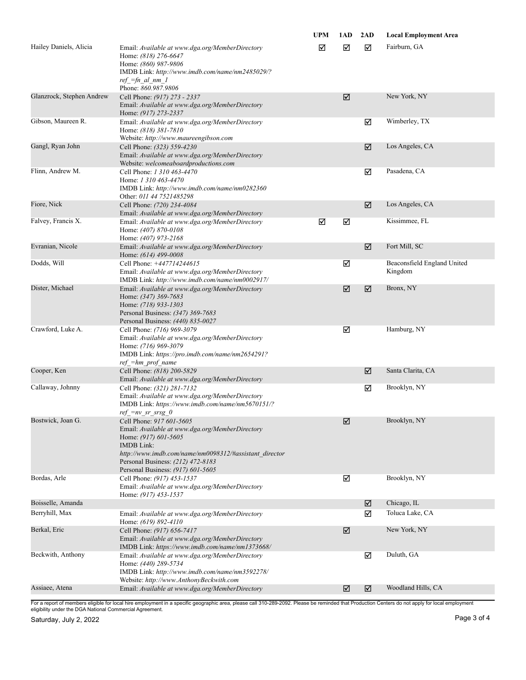|                           |                                                                                                                                                                                                                                                              | <b>UPM</b> | 1AD | 2AD | <b>Local Employment Area</b>           |
|---------------------------|--------------------------------------------------------------------------------------------------------------------------------------------------------------------------------------------------------------------------------------------------------------|------------|-----|-----|----------------------------------------|
| Hailey Daniels, Alicia    | Email: Available at www.dga.org/MemberDirectory<br>Home: (818) 276-6647<br>Home: (860) 987-9806<br>IMDB Link: http://www.imdb.com/name/nm2485029/?<br>$ref =fn$ al nm 1<br>Phone: 860.987.9806                                                               | ☑          | ☑   | ☑   | Fairburn, GA                           |
| Glanzrock, Stephen Andrew | Cell Phone: (917) 273 - 2337<br>Email: Available at www.dga.org/MemberDirectory<br>Home: (917) 273-2337                                                                                                                                                      |            | ☑   |     | New York, NY                           |
| Gibson, Maureen R.        | Email: Available at www.dga.org/MemberDirectory<br>Home: (818) 381-7810<br>Website: http://www.maureengibson.com                                                                                                                                             |            |     | ☑   | Wimberley, TX                          |
| Gangl, Ryan John          | Cell Phone: (323) 559-4230<br>Email: Available at www.dga.org/MemberDirectory<br>Website: welcomeaboardproductions.com                                                                                                                                       |            |     | ☑   | Los Angeles, CA                        |
| Flinn, Andrew M.          | Cell Phone: 1 310 463-4470<br>Home: 1 310 463-4470<br>IMDB Link: http://www.imdb.com/name/nm0282360<br>Other: 011 44 7521485298                                                                                                                              |            |     | ☑   | Pasadena, CA                           |
| Fiore, Nick               | Cell Phone: (720) 234-4084<br>Email: Available at www.dga.org/MemberDirectory                                                                                                                                                                                |            |     | ☑   | Los Angeles, CA                        |
| Falvey, Francis X.        | Email: Available at www.dga.org/MemberDirectory<br>Home: (407) 870-0108<br>Home: (407) 973-2168                                                                                                                                                              | ☑          | ☑   |     | Kissimmee, FL                          |
| Evranian, Nicole          | Email: Available at www.dga.org/MemberDirectory<br>Home: (614) 499-0008                                                                                                                                                                                      |            |     | ☑   | Fort Mill, SC                          |
| Dodds, Will               | Cell Phone: +447714244615<br>Email: Available at www.dga.org/MemberDirectory<br>IMDB Link: http://www.imdb.com/name/nm0002917/                                                                                                                               |            | ☑   |     | Beaconsfield England United<br>Kingdom |
| Dister, Michael           | Email: Available at www.dga.org/MemberDirectory<br>Home: (347) 369-7683<br>Home: (718) 933-1303<br>Personal Business: (347) 369-7683<br>Personal Business: (440) 835-0027                                                                                    |            | ☑   | ☑   | Bronx, NY                              |
| Crawford, Luke A.         | Cell Phone: (716) 969-3079<br>Email: Available at www.dga.org/MemberDirectory<br>Home: (716) 969-3079<br>IMDB Link: https://pro.imdb.com/name/nm2654291?<br>$ref = hm$ prof name                                                                             |            | ☑   |     | Hamburg, NY                            |
| Cooper, Ken               | Cell Phone: (818) 200-5829<br>Email: Available at www.dga.org/MemberDirectory                                                                                                                                                                                |            |     | ☑   | Santa Clarita, CA                      |
| Callaway, Johnny          | Cell Phone: (321) 281-7132<br>Email: Available at www.dga.org/MemberDirectory<br>IMDB Link: https://www.imdb.com/name/nm5670151/?<br>ref $=nv$ sr srsg 0                                                                                                     |            |     | ☑   | Brooklyn, NY                           |
| Bostwick, Joan G.         | Cell Phone: 917 601-5605<br>Email: Available at www.dga.org/MemberDirectory<br>Home: (917) 601-5605<br><b>IMDB</b> Link:<br>http://www.imdb.com/name/nm0098312/#assistant_director<br>Personal Business: (212) 472-8183<br>Personal Business: (917) 601-5605 |            | ☑   |     | Brooklyn, NY                           |
| Bordas, Arle              | Cell Phone: (917) 453-1537<br>Email: Available at www.dga.org/MemberDirectory<br>Home: (917) 453-1537                                                                                                                                                        |            | ☑   |     | Brooklyn, NY                           |
| Boisselle, Amanda         |                                                                                                                                                                                                                                                              |            |     | ☑   | Chicago, IL                            |
| Berryhill, Max            | Email: Available at www.dga.org/MemberDirectory<br>Home: (619) 892-4110                                                                                                                                                                                      |            |     | ☑   | Toluca Lake, CA                        |
| Berkal, Eric              | Cell Phone: (917) 656-7417<br>Email: Available at www.dga.org/MemberDirectory<br>IMDB Link: https://www.imdb.com/name/nm1373668/                                                                                                                             |            | ☑   |     | New York, NY                           |
| Beckwith, Anthony         | Email: Available at www.dga.org/MemberDirectory<br>Home: (440) 289-5734<br>IMDB Link: http://www.imdb.com/name/nm3592278/<br>Website: http://www.AnthonyBeckwith.com                                                                                         |            |     | ☑   | Duluth, GA                             |
| Assiaee, Atena            | Email: Available at www.dga.org/MemberDirectory                                                                                                                                                                                                              |            | ☑   | ☑   | Woodland Hills, CA                     |

For a report of members eligible for local hire employment in a specific geographic area, please call 310-289-2092. Please be reminded that Production Centers do not apply for local employment<br>eligibility under the DGA Nat